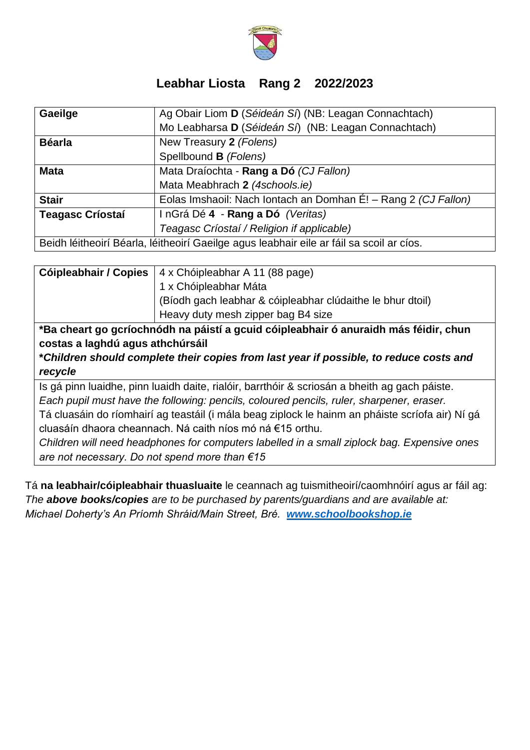

## **Leabhar Liosta Rang 2 2022/2023**

| Gaeilge                                                                                  | Ag Obair Liom D (Séideán Sí) (NB: Leagan Connachtach)          |
|------------------------------------------------------------------------------------------|----------------------------------------------------------------|
|                                                                                          | Mo Leabharsa D (Séideán Sí) (NB: Leagan Connachtach)           |
| <b>Béarla</b>                                                                            | New Treasury 2 (Folens)                                        |
|                                                                                          | Spellbound B (Folens)                                          |
| <b>Mata</b>                                                                              | Mata Draíochta - Rang a Dó (CJ Fallon)                         |
|                                                                                          | Mata Meabhrach 2 (4schools.ie)                                 |
| <b>Stair</b>                                                                             | Eolas Imshaoil: Nach Iontach an Domhan É! - Rang 2 (CJ Fallon) |
| <b>Teagasc Críostaí</b>                                                                  | InGrá Dé 4 - Rang a Dó (Veritas)                               |
|                                                                                          | Teagasc Críostaí / Religion if applicable)                     |
| Beidh léitheoirí Béarla, léitheoirí Gaeilge agus leabhair eile ar fáil sa scoil ar cíos. |                                                                |

| Cóipleabhair / Copies                                                                | 4 x Chóipleabhar A 11 (88 page)                            |  |
|--------------------------------------------------------------------------------------|------------------------------------------------------------|--|
|                                                                                      | 1 x Chóipleabhar Máta                                      |  |
|                                                                                      | (Bíodh gach leabhar & cóipleabhar clúdaithe le bhur dtoil) |  |
|                                                                                      | Heavy duty mesh zipper bag B4 size                         |  |
| *Ba cheart go gcríochnódh na páistí a gcuid cóipleabhair ó anuraidh más féidir, chun |                                                            |  |
| costas a laghdú agus athchúrsáil                                                     |                                                            |  |

**\****Children should complete their copies from last year if possible, to reduce costs and recycle*

Is gá pinn luaidhe, pinn luaidh daite, rialóir, barrthóir & scriosán a bheith ag gach páiste. *Each pupil must have the following: pencils, coloured pencils, ruler, sharpener, eraser.* Tá cluasáin do ríomhairí ag teastáil (i mála beag ziplock le hainm an pháiste scríofa air) Ní gá cluasáín dhaora cheannach. Ná caith níos mó ná €15 orthu.

*Children will need headphones for computers labelled in a small ziplock bag. Expensive ones are not necessary. Do not spend more than €15*

Tá **na leabhair/cóipleabhair thuasluaite** le ceannach ag tuismitheoirí/caomhnóirí agus ar fáil ag: *The above books/copies are to be purchased by parents/guardians and are available at: Michael Doherty's An Príomh Shráid/Main Street, Bré. [www.schoolbookshop.ie](http://www.schoolbookshop.ie/)*